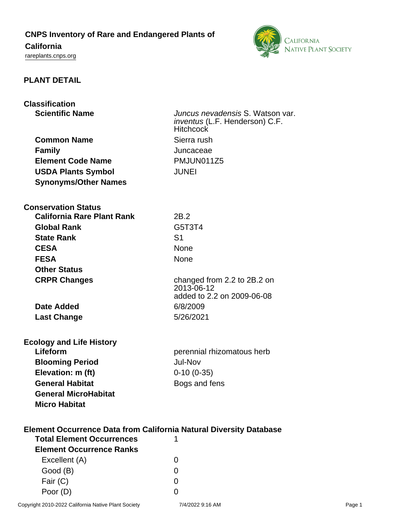**CNPS Inventory of Rare and Endangered Plants of**

# **California**

<rareplants.cnps.org>



## **PLANT DETAIL**

| <b>Classification</b>                                                                                         |                                                                                               |
|---------------------------------------------------------------------------------------------------------------|-----------------------------------------------------------------------------------------------|
| <b>Scientific Name</b>                                                                                        | Juncus nevadensis S. Watson var.<br><i>inventus</i> (L.F. Henderson) C.F.<br><b>Hitchcock</b> |
| <b>Common Name</b>                                                                                            | Sierra rush                                                                                   |
| <b>Family</b>                                                                                                 | Juncaceae                                                                                     |
| <b>Element Code Name</b>                                                                                      | PMJUN011Z5                                                                                    |
| <b>USDA Plants Symbol</b>                                                                                     | <b>JUNEI</b>                                                                                  |
| <b>Synonyms/Other Names</b>                                                                                   |                                                                                               |
| <b>Conservation Status</b>                                                                                    |                                                                                               |
| <b>California Rare Plant Rank</b>                                                                             | 2B.2                                                                                          |
| <b>Global Rank</b>                                                                                            | G5T3T4                                                                                        |
| <b>State Rank</b>                                                                                             | S <sub>1</sub>                                                                                |
| <b>CESA</b>                                                                                                   | None                                                                                          |
| <b>FESA</b>                                                                                                   | <b>None</b>                                                                                   |
| <b>Other Status</b>                                                                                           |                                                                                               |
| <b>CRPR Changes</b>                                                                                           | changed from 2.2 to 2B.2 on<br>2013-06-12<br>added to 2.2 on 2009-06-08                       |
| <b>Date Added</b>                                                                                             | 6/8/2009                                                                                      |
| <b>Last Change</b>                                                                                            | 5/26/2021                                                                                     |
| <b>Ecology and Life History</b>                                                                               |                                                                                               |
| Lifeform                                                                                                      | perennial rhizomatous herb                                                                    |
| <b>Blooming Period</b>                                                                                        | <b>Jul-Nov</b>                                                                                |
| Elevation: m (ft)                                                                                             | $0-10(0-35)$                                                                                  |
| <b>General Habitat</b>                                                                                        | Bogs and fens                                                                                 |
| <b>General MicroHabitat</b><br><b>Micro Habitat</b>                                                           |                                                                                               |
| <b>Element Occurrence Data from California Natural Diversity Database</b><br><b>Total Element Occurrences</b> |                                                                                               |
| <b>Element Occurrence Ranks</b>                                                                               |                                                                                               |
| Excellent (A)                                                                                                 | 0                                                                                             |
| Good (B)                                                                                                      | 0                                                                                             |
| Fair (C)                                                                                                      | 0                                                                                             |

Poor (D) 0